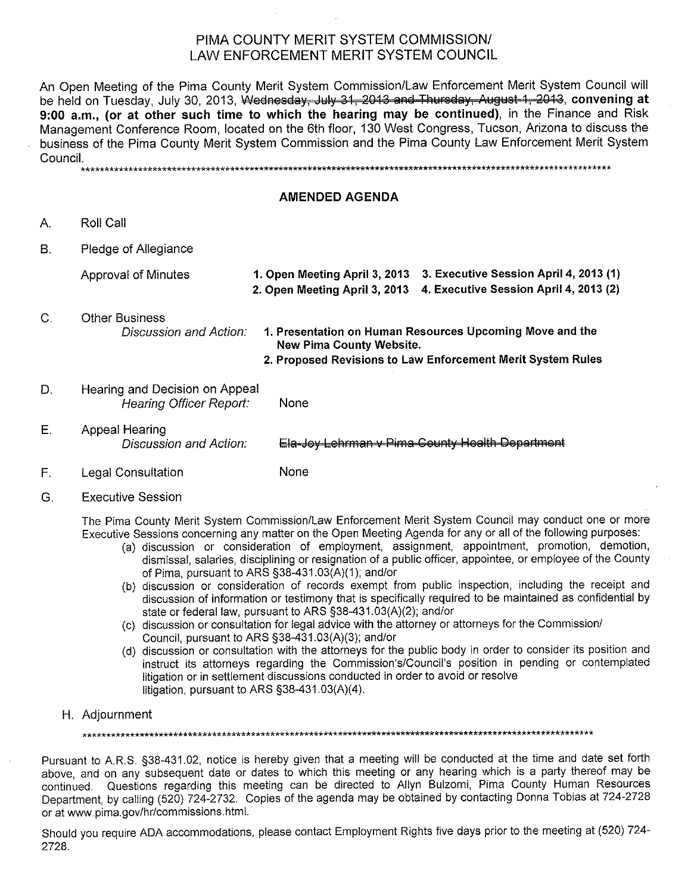## PIMA COUNTY MERIT SYSTEM COMMISSION/ LAW ENFORCEMENT MERIT SYSTEM COUNCIL

An Open Meeting of the Pima County Merit System Commission/Law Enforcement Merit System Council will be held on Tuesday, July 30, 2013, Wednesday, July 31, 2013 and Thursday, August 1, 2013, convening at 9:00 a.m., (or at other such time to which the hearing may be continued), in the Finance and Risk Management Conference Room, located on the 6th floor, 130 West Congress, Tucson, Arizona to discuss the business of the Pima County Merit System Commission and the Pima County Law Enforcement Merit System Council.

#### **AMENDED AGENDA**

 $A_{1}$ Roll Call

 $\mathsf{C}$ .

**B.** Pledge of Allegiance

**Approval of Minutes** 

- 2. Open Meeting April 3, 2013 4. Executive Session April 4, 2013 (2) **Other Business** Discussion and Action: 1. Presentation on Human Resources Upcoming Move and the **New Pima County Website.** 
	- 2. Proposed Revisions to Law Enforcement Merit System Rules

1. Open Meeting April 3, 2013 3. Executive Session April 4, 2013 (1)

- D. Hearing and Decision on Appeal **Hearing Officer Report:** None
- Ε. Appeal Hearing Discussion and Action: Ela-Joy Lehrman v Pima County Health Department
- **None** F. **Legal Consultation**
- G. **Executive Session**

The Pima County Merit System Commission/Law Enforcement Merit System Council may conduct one or more Executive Sessions concerning any matter on the Open Meeting Agenda for any or all of the following purposes:

- (a) discussion or consideration of employment, assignment, appointment, promotion, demotion, dismissal, salaries, disciplining or resignation of a public officer, appointee, or employee of the County of Pima, pursuant to ARS §38-431.03(A)(1); and/or
- (b) discussion or consideration of records exempt from public inspection, including the receipt and discussion of information or testimony that is specifically required to be maintained as confidential by state or federal law, pursuant to ARS §38-431.03(A)(2); and/or
- (c) discussion or consultation for legal advice with the attorney or attorneys for the Commission/ Council, pursuant to ARS §38-431.03(A)(3); and/or
- (d) discussion or consultation with the attorneys for the public body in order to consider its position and instruct its attorneys regarding the Commission's/Council's position in pending or contemplated litigation or in settlement discussions conducted in order to avoid or resolve litigation, pursuant to ARS §38-431.03(A)(4).
- H. Adjournment

Pursuant to A.R.S. §38-431.02, notice is hereby given that a meeting will be conducted at the time and date set forth above, and on any subsequent date or dates to which this meeting or any hearing which is a party thereof may be continued. Questions regarding this meeting can be directed to Allyn Bulzomi, Pima County Human Resources Department, by calling (520) 724-2732. Copies of the agenda may be obtained by contacting Donna Tobias at 724-2728 or at www.pima.gov/hr/commissions.html.

Should you require ADA accommodations, please contact Employment Rights five days prior to the meeting at (520) 724-2728.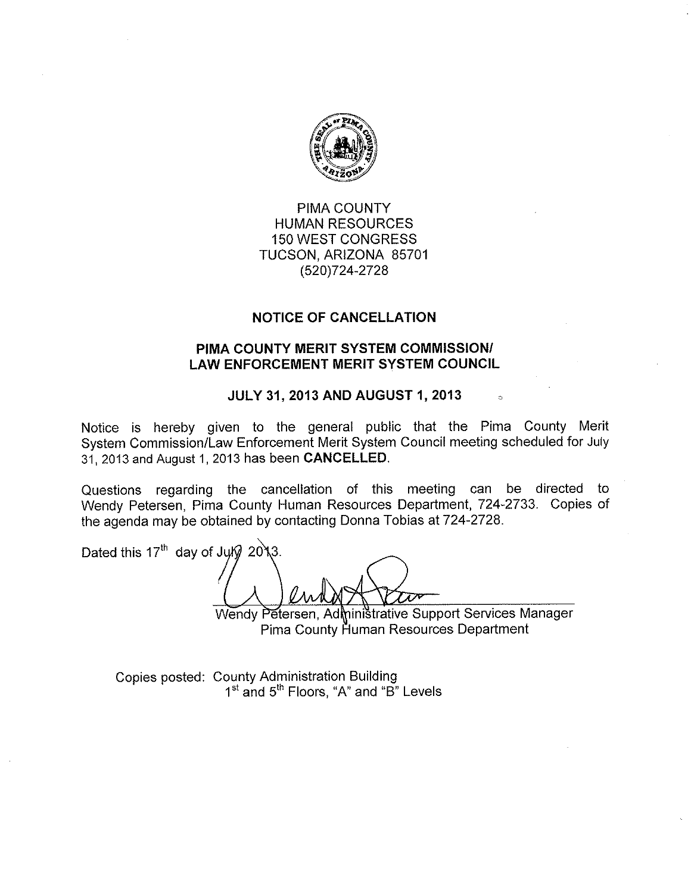

# PIMA COUNTY **HUMAN RESOURCES 150 WEST CONGRESS** TUCSON, ARIZONA 85701 (520) 724-2728

## **NOTICE OF CANCELLATION**

# PIMA COUNTY MERIT SYSTEM COMMISSION/ **LAW ENFORCEMENT MERIT SYSTEM COUNCIL**

#### **JULY 31, 2013 AND AUGUST 1, 2013**

Notice is hereby given to the general public that the Pima County Merit System Commission/Law Enforcement Merit System Council meeting scheduled for July 31, 2013 and August 1, 2013 has been CANCELLED.

Questions regarding the cancellation of this meeting can be directed to Wendy Petersen, Pima County Human Resources Department, 724-2733. Copies of the agenda may be obtained by contacting Donna Tobias at 724-2728.

Dated this 17<sup>th</sup> day of July 2013.

Wendy Petersen, Administrative Support Services Manager Pima County Human Resources Department

Copies posted: County Administration Building 1<sup>st</sup> and 5<sup>th</sup> Floors, "A" and "B" Levels